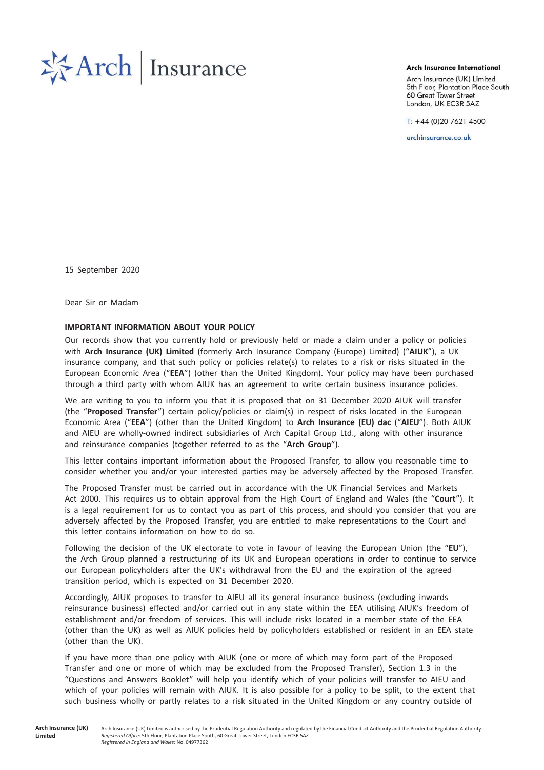

**Arch Insurance International** 

Arch Insurance (UK) Limited 5th Floor, Plantation Place South 60 Great Tower Street London, UK EC3R 5AZ

 $T: +44(0)2076214500$ 

archinsurance.co.uk

15 September 2020

Dear Sir or Madam

## IMPORTANT INFORMATION ABOUT YOUR POLICY

Our records show that you currently hold or previously held or made a claim under a policy or policies with Arch Insurance (UK) Limited (formerly Arch Insurance Company (Europe) Limited) ("AIUK"), a UK insurance company, and that such policy or policies relate(s) to relates to a risk or risks situated in the European Economic Area ("EEA") (other than the United Kingdom). Your policy may have been purchased through a third party with whom AIUK has an agreement to write certain business insurance policies.

We are writing to you to inform you that it is proposed that on 31 December 2020 AIUK will transfer (the "Proposed Transfer") certain policy/policies or claim(s) in respect of risks located in the European Economic Area ("EEA") (other than the United Kingdom) to Arch Insurance (EU) dac ("AIEU"). Both AIUK and AIEU are wholly-owned indirect subsidiaries of Arch Capital Group Ltd., along with other insurance and reinsurance companies (together referred to as the "Arch Group").

This letter contains important information about the Proposed Transfer, to allow you reasonable time to consider whether you and/or your interested parties may be adversely affected by the Proposed Transfer.

The Proposed Transfer must be carried out in accordance with the UK Financial Services and Markets Act 2000. This requires us to obtain approval from the High Court of England and Wales (the "Court"). It is a legal requirement for us to contact you as part of this process, and should you consider that you are adversely affected by the Proposed Transfer, you are entitled to make representations to the Court and this letter contains information on how to do so.

Following the decision of the UK electorate to vote in favour of leaving the European Union (the "EU"), the Arch Group planned a restructuring of its UK and European operations in order to continue to service our European policyholders after the UK's withdrawal from the EU and the expiration of the agreed transition period, which is expected on 31 December 2020.

Accordingly, AIUK proposes to transfer to AIEU all its general insurance business (excluding inwards reinsurance business) effected and/or carried out in any state within the EEA utilising AIUK's freedom of establishment and/or freedom of services. This will include risks located in a member state of the EEA (other than the UK) as well as AIUK policies held by policyholders established or resident in an EEA state (other than the UK).

If you have more than one policy with AIUK (one or more of which may form part of the Proposed Transfer and one or more of which may be excluded from the Proposed Transfer), Section 1.3 in the "Questions and Answers Booklet" will help you identify which of your policies will transfer to AIEU and which of your policies will remain with AIUK. It is also possible for a policy to be split, to the extent that such business wholly or partly relates to a risk situated in the United Kingdom or any country outside of

**Arch Insurance (UK) Limitad** 

Arch Insurance (UK) Limited is authorised by the Prudential Regulation Authority and regulated by the Financial Conduct Authority and the Prudential Regulation Authority. *ZĞŐŝƐƚĞƌĞĚKĨĨŝĐĞ*͗ϱƚŚ&ůŽŽƌ͕WůĂŶƚĂƚŝŽŶWůĂĐĞ^ŽƵƚŚ͕ϲϬ'ƌĞĂƚdŽǁĞƌ^ƚƌĞĞƚ͕>ŽŶĚŽŶϯZϱ *Registered in England and Wales*: No. 04977362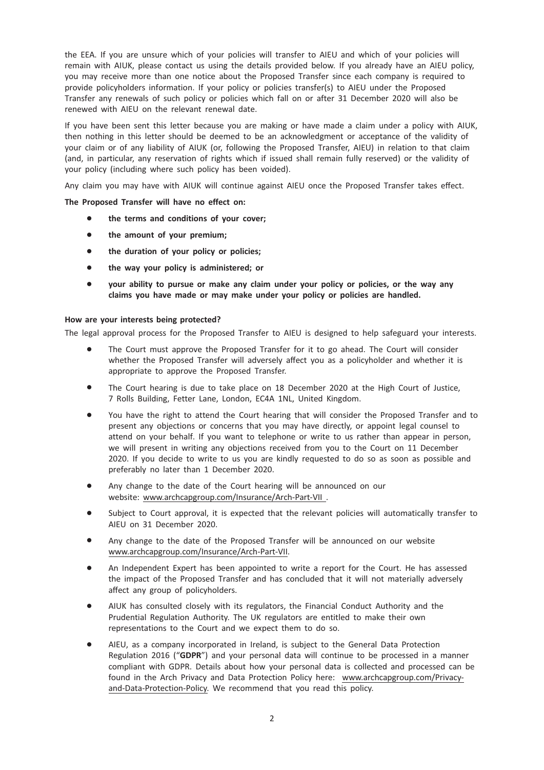the EEA. If you are unsure which of your policies will transfer to AIEU and which of your policies will remain with AIUK, please contact us using the details provided below. If you already have an AIEU policy, you may receive more than one notice about the Proposed Transfer since each company is required to provide policyholders information. If your policy or policies transfer(s) to AIEU under the Proposed Transfer any renewals of such policy or policies which fall on or after 31 December 2020 will also be renewed with AIEU on the relevant renewal date.

If you have been sent this letter because you are making or have made a claim under a policy with AIUK, then nothing in this letter should be deemed to be an acknowledgment or acceptance of the validity of your claim or of any liability of AIUK (or, following the Proposed Transfer, AIEU) in relation to that claim (and, in particular, any reservation of rights which if issued shall remain fully reserved) or the validity of your policy (including where such policy has been voided).

Any claim you may have with AIUK will continue against AIEU once the Proposed Transfer takes effect.

The Proposed Transfer will have no effect on:

- the terms and conditions of your cover:
- the amount of your premium;
- the duration of your policy or policies;
- the way your policy is administered; or
- your ability to pursue or make any claim under your policy or policies, or the way any claims you have made or may make under your policy or policies are handled.

## How are your interests being protected?

The legal approval process for the Proposed Transfer to AIEU is designed to help safeguard your interests.

- The Court must approve the Proposed Transfer for it to go ahead. The Court will consider whether the Proposed Transfer will adversely affect you as a policyholder and whether it is appropriate to approve the Proposed Transfer.
- The Court hearing is due to take place on 18 December 2020 at the High Court of Justice, 7 Rolls Building, Fetter Lane, London, EC4A 1NL, United Kingdom.
- You have the right to attend the Court hearing that will consider the Proposed Transfer and to present any objections or concerns that you may have directly, or appoint legal counsel to attend on your behalf. If you want to telephone or write to us rather than appear in person, we will present in writing any objections received from you to the Court on 11 December 2020. If you decide to write to us you are kindly requested to do so as soon as possible and preferably no later than 1 December 2020.
- Any change to the date of the Court hearing will be announced on our website: www.archcapgroup.com/Insurance/Arch-Part-VII .
- Subject to Court approval, it is expected that the relevant policies will automatically transfer to AIEU on 31 December 2020.
- Any change to the date of the Proposed Transfer will be announced on our website www.archcapgroup.com/Insurance/Arch-Part-VII.
- An Independent Expert has been appointed to write a report for the Court. He has assessed the impact of the Proposed Transfer and has concluded that it will not materially adversely affect any group of policyholders.
- AIUK has consulted closely with its regulators, the Financial Conduct Authority and the Prudential Regulation Authority. The UK regulators are entitled to make their own representations to the Court and we expect them to do so.
- AIEU, as a company incorporated in Ireland, is subject to the General Data Protection Regulation 2016 ("GDPR") and your personal data will continue to be processed in a manner compliant with GDPR. Details about how your personal data is collected and processed can be found in the Arch Privacy and Data Protection Policy here: www.archcapgroup.com/Privacyand-Data-Protection-Policy. We recommend that you read this policy.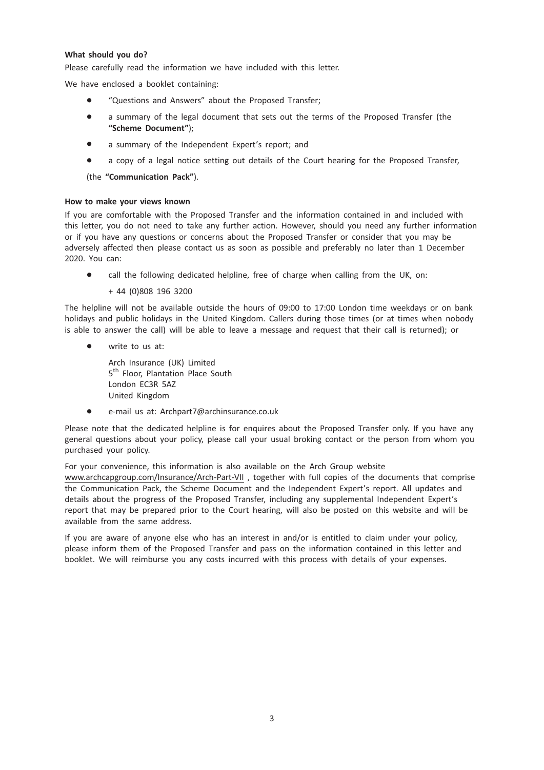## What should you do?

Please carefully read the information we have included with this letter.

We have enclosed a booklet containing:

- \* "Questions and Answers" about the Proposed Transfer;
- a summary of the legal document that sets out the terms of the Proposed Transfer (the "Scheme Document");
- a summary of the Independent Expert's report; and
- a copy of a legal notice setting out details of the Court hearing for the Proposed Transfer,

(the "Communication Pack").

## How to make your views known

If you are comfortable with the Proposed Transfer and the information contained in and included with this letter, you do not need to take any further action. However, should you need any further information or if you have any questions or concerns about the Proposed Transfer or consider that you may be adversely affected then please contact us as soon as possible and preferably no later than 1 December 2020. You can:

call the following dedicated helpline, free of charge when calling from the UK, on:

+ 44 (0)808 196 3200

The helpline will not be available outside the hours of 09:00 to 17:00 London time weekdays or on bank holidays and public holidays in the United Kingdom. Callers during those times (or at times when nobody is able to answer the call) will be able to leave a message and request that their call is returned); or

• write to us at:

Arch Insurance (UK) Limited 5<sup>th</sup> Floor, Plantation Place South London EC3R 5AZ United Kingdom

\* e-mail us at: Archpart7@archinsurance.co.uk

Please note that the dedicated helpline is for enquires about the Proposed Transfer only. If you have any general questions about your policy, please call your usual broking contact or the person from whom you purchased your policy.

For your convenience, this information is also available on the Arch Group website www.archcapgroup.com/Insurance/Arch-Part-VII , together with full copies of the documents that comprise the Communication Pack, the Scheme Document and the Independent Expert's report. All updates and details about the progress of the Proposed Transfer, including any supplemental Independent Expert's report that may be prepared prior to the Court hearing, will also be posted on this website and will be available from the same address.

If you are aware of anyone else who has an interest in and/or is entitled to claim under your policy, please inform them of the Proposed Transfer and pass on the information contained in this letter and booklet. We will reimburse you any costs incurred with this process with details of your expenses.